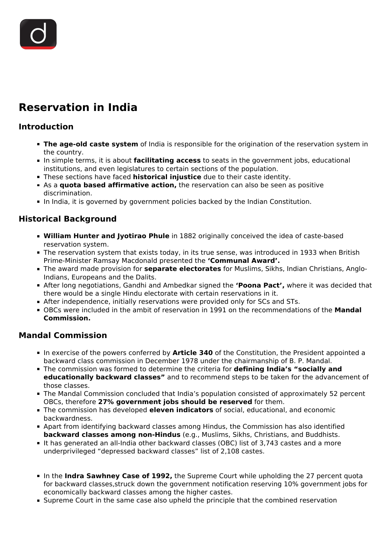# **Reservation in India**

#### **Introduction**

- **The age-old caste system** of India is responsible for the origination of the reservation system in the country.
- In simple terms, it is about **facilitating access** to seats in the government jobs, educational institutions, and even legislatures to certain sections of the population.
- These sections have faced **historical injustice** due to their caste identity.
- **As a quota based affirmative action,** the reservation can also be seen as positive discrimination.
- In India, it is governed by government policies backed by the Indian Constitution.

#### **Historical Background**

- **William Hunter and Jyotirao Phule** in 1882 originally conceived the idea of caste-based reservation system.
- The reservation system that exists today, in its true sense, was introduced in 1933 when British Prime-Minister Ramsay Macdonald presented the **'Communal Award'.**
- The award made provision for **separate electorates** for Muslims, Sikhs, Indian Christians, Anglo-Indians, Europeans and the Dalits.
- After long negotiations, Gandhi and Ambedkar signed the **'Poona Pact',** where it was decided that there would be a single Hindu electorate with certain reservations in it.
- After independence, initially reservations were provided only for SCs and STs.
- OBCs were included in the ambit of reservation in 1991 on the recommendations of the **Mandal Commission.**

#### **Mandal Commission**

- In exercise of the powers conferred by **Article 340** of the Constitution, the President appointed a backward class commission in December 1978 under the chairmanship of B. P. Mandal.
- The commission was formed to determine the criteria for **defining India's "socially and educationally backward classes"** and to recommend steps to be taken for the advancement of those classes.
- The Mandal Commission concluded that India's population consisted of approximately 52 percent OBCs, therefore **27% government jobs should be reserved** for them.
- The commission has developed **eleven indicators** of social, educational, and economic backwardness.
- Apart from identifying backward classes among Hindus, the Commission has also identified **backward classes among non-Hindus** (e.g., Muslims, Sikhs, Christians, and Buddhists.
- If has generated an all-India other backward classes (OBC) list of 3,743 castes and a more underprivileged "depressed backward classes" list of 2,108 castes.
- In the **Indra Sawhney Case of 1992,** the Supreme Court while upholding the 27 percent quota for backward classes,struck down the government notification reserving 10% government jobs for economically backward classes among the higher castes.
- **Supreme Court in the same case also upheld the principle that the combined reservation**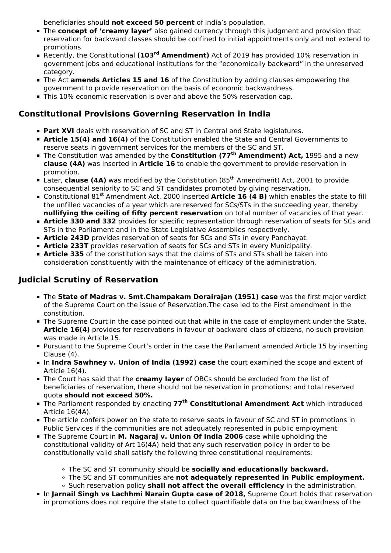beneficiaries should **not exceed 50 percent** of India's population.

- The **concept of 'creamy layer'** also gained currency through this judgment and provision that reservation for backward classes should be confined to initial appointments only and not extend to promotions.
- Recently, the Constitutional **(103rd Amendment)** Act of 2019 has provided 10% reservation in government jobs and educational institutions for the "economically backward" in the unreserved category.
- The Act **amends Articles 15 and 16** of the Constitution by adding clauses empowering the government to provide reservation on the basis of economic backwardness.
- This 10% economic reservation is over and above the 50% reservation cap.

## **Constitutional Provisions Governing Reservation in India**

- **Part XVI** deals with reservation of SC and ST in Central and State legislatures.
- **Article 15(4) and 16(4)** of the Constitution enabled the State and Central Governments to reserve seats in government services for the members of the SC and ST.
- The Constitution was amended by the **Constitution (77th Amendment) Act,** 1995 and a new **clause (4A)** was inserted in **Article 16** to enable the government to provide reservation in promotion.
- Later, **clause (4A)** was modified by the Constitution (85<sup>th</sup> Amendment) Act, 2001 to provide consequential seniority to SC and ST candidates promoted by giving reservation.
- Constitutional 81<sup>st</sup> Amendment Act, 2000 inserted **Article 16 (4 B)** which enables the state to fill the unfilled vacancies of a year which are reserved for SCs/STs in the succeeding year, thereby **nullifying the ceiling of fifty percent reservation** on total number of vacancies of that year.
- **Article 330 and 332** provides for specific representation through reservation of seats for SCs and STs in the Parliament and in the State Legislative Assemblies respectively.
- **Article 243D** provides reservation of seats for SCs and STs in every Panchayat.
- **Article 233T** provides reservation of seats for SCs and STs in every Municipality.
- **Article 335** of the constitution says that the claims of STs and STs shall be taken into consideration constituently with the maintenance of efficacy of the administration.

## **Judicial Scrutiny of Reservation**

- The **State of Madras v. Smt.Champakam Dorairajan (1951) case** was the first major verdict of the Supreme Court on the issue of Reservation.The case led to the First amendment in the constitution.
- The Supreme Court in the case pointed out that while in the case of employment under the State, **Article 16(4)** provides for reservations in favour of backward class of citizens, no such provision was made in Article 15.
- Pursuant to the Supreme Court's order in the case the Parliament amended Article 15 by inserting Clause (4).
- In **Indra Sawhney v. Union of India (1992) case** the court examined the scope and extent of Article 16(4).
- The Court has said that the **creamy layer** of OBCs should be excluded from the list of beneficiaries of reservation, there should not be reservation in promotions; and total reserved quota **should not exceed 50%.**
- The Parliament responded by enacting **77th Constitutional Amendment Act** which introduced Article 16(4A).
- The article confers power on the state to reserve seats in favour of SC and ST in promotions in Public Services if the communities are not adequately represented in public employment.
- The Supreme Court in **M. Nagaraj v. Union Of India 2006** case while upholding the constitutional validity of Art 16(4A) held that any such reservation policy in order to be constitutionally valid shall satisfy the following three constitutional requirements:
	- The SC and ST community should be **socially and educationally backward.**
	- The SC and ST communities are **not adequately represented in Public employment.**
	- Such reservation policy **shall not affect the overall efficiency** in the administration.
- **In Jarnail Singh vs Lachhmi Narain Gupta case of 2018, Supreme Court holds that reservation** in promotions does not require the state to collect quantifiable data on the backwardness of the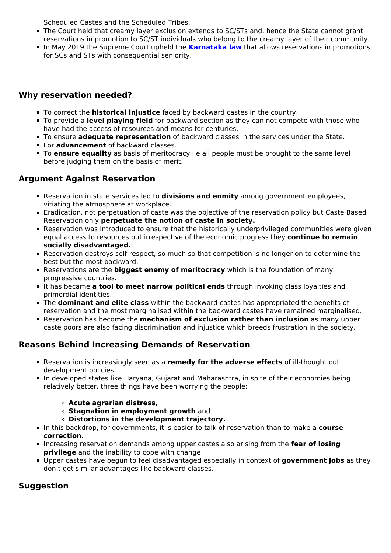Scheduled Castes and the Scheduled Tribes.

- The Court held that creamy layer exclusion extends to SC/STs and, hence the State cannot grant reservations in promotion to SC/ST individuals who belong to the creamy layer of their community.
- In May 2019 the Supreme Court upheld the **[Karnataka law](/daily-updates/daily-news-analysis/sc-upholds-karnataka-law-granting-reservation-in-promotion-for-sc-st)** that allows reservations in promotions for SCs and STs with consequential seniority.

## **Why reservation needed?**

- To correct the **historical injustice** faced by backward castes in the country.
- To provide a **level playing field** for backward section as they can not compete with those who have had the access of resources and means for centuries.
- To ensure **adequate representation** of backward classes in the services under the State.
- **For advancement** of backward classes.
- To **ensure equality** as basis of meritocracy i.e all people must be brought to the same level before judging them on the basis of merit.

## **Argument Against Reservation**

- Reservation in state services led to **divisions and enmity** among government employees, vitiating the atmosphere at workplace.
- **Eradication, not perpetuation of caste was the objective of the reservation policy but Caste Based** Reservation only **perpetuate the notion of caste in society.**
- Reservation was introduced to ensure that the historically underprivileged communities were given equal access to resources but irrespective of the economic progress they **continue to remain socially disadvantaged.**
- Reservation destroys self-respect, so much so that competition is no longer on to determine the best but the most backward.
- Reservations are the **biggest enemy of meritocracy** which is the foundation of many progressive countries.
- It has became **a tool to meet narrow political ends** through invoking class loyalties and primordial identities.
- The **dominant and elite class** within the backward castes has appropriated the benefits of reservation and the most marginalised within the backward castes have remained marginalised.
- Reservation has become the **mechanism of exclusion rather than inclusion** as many upper caste poors are also facing discrimination and injustice which breeds frustration in the society.

## **Reasons Behind Increasing Demands of Reservation**

- Reservation is increasingly seen as a **remedy for the adverse effects** of ill-thought out development policies.
- In developed states like Haryana, Gujarat and Maharashtra, in spite of their economies being relatively better, three things have been worrying the people:
	- **Acute agrarian distress,**
	- **Stagnation in employment growth** and
	- **Distortions in the development trajectory.**
- In this backdrop, for governments, it is easier to talk of reservation than to make a **course correction.**
- **Increasing reservation demands among upper castes also arising from the fear of losing privilege** and the inability to cope with change
- Upper castes have begun to feel disadvantaged especially in context of **government jobs** as they don't get similar advantages like backward classes.

## **Suggestion**